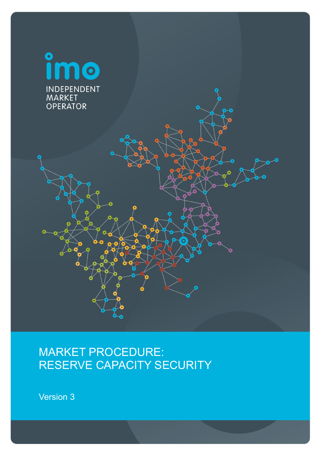

# MARKET PROCEDURE: RESERVE CAPACITY SECURITY

Version 3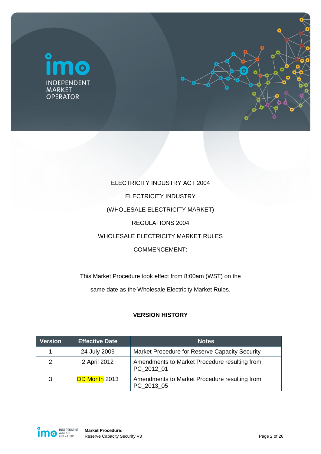



# ELECTRICITY INDUSTRY ACT 2004 ELECTRICITY INDUSTRY (WHOLESALE ELECTRICITY MARKET) REGULATIONS 2004 WHOLESALE ELECTRICITY MARKET RULES COMMENCEMENT:

This Market Procedure took effect from 8:00am (WST) on the same date as the Wholesale Electricity Market Rules.

# **VERSION HISTORY**

| <b>Version</b> | <b>Effective Date</b> | <b>Notes</b>                                                |
|----------------|-----------------------|-------------------------------------------------------------|
| 1              | 24 July 2009          | Market Procedure for Reserve Capacity Security              |
| 2              | 2 April 2012          | Amendments to Market Procedure resulting from<br>PC 2012 01 |
| 3              | <b>DD Month 2013</b>  | Amendments to Market Procedure resulting from<br>PC 2013 05 |

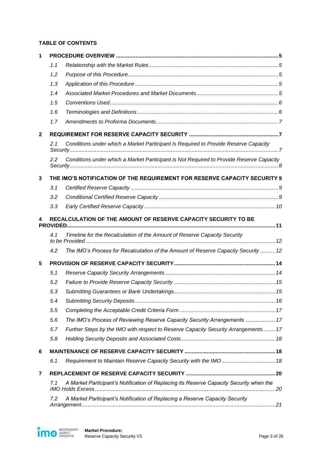#### **TABLE OF CONTENTS**

| 1            |     |                                                                                         |  |
|--------------|-----|-----------------------------------------------------------------------------------------|--|
|              | 1.1 |                                                                                         |  |
|              | 1.2 |                                                                                         |  |
|              | 1.3 |                                                                                         |  |
|              | 1.4 |                                                                                         |  |
|              | 1.5 |                                                                                         |  |
|              | 1.6 |                                                                                         |  |
|              | 1.7 |                                                                                         |  |
| $\mathbf{2}$ |     |                                                                                         |  |
|              | 2.1 | Conditions under which a Market Participant is Required to Provide Reserve Capacity     |  |
|              | 2.2 | Conditions under which a Market Participant is Not Required to Provide Reserve Capacity |  |
| 3            |     | THE IMO'S NOTIFICATION OF THE REQUIREMENT FOR RESERVE CAPACITY SECURITY 9               |  |
|              | 3.1 |                                                                                         |  |
|              | 3.2 |                                                                                         |  |
|              | 3.3 |                                                                                         |  |
| 4            |     | RECALCULATION OF THE AMOUNT OF RESERVE CAPACITY SECURITY TO BE                          |  |
|              | 4.1 | Timeline for the Recalculation of the Amount of Reserve Capacity Security               |  |
|              | 4.2 | The IMO's Process for Recalculation of the Amount of Reserve Capacity Security  12      |  |
| 5            |     |                                                                                         |  |
|              | 5.1 |                                                                                         |  |
|              | 5.2 |                                                                                         |  |
|              | 5.3 |                                                                                         |  |
|              | 5.4 |                                                                                         |  |
|              | 5.5 |                                                                                         |  |
|              | 5.6 | The IMO's Process of Reviewing Reserve Capacity Security Arrangements  17               |  |
|              | 5.7 | Further Steps by the IMO with respect to Reserve Capacity Security Arrangements 17      |  |
|              | 5.8 |                                                                                         |  |
| 6            |     |                                                                                         |  |
|              | 6.1 | Requirement to Maintain Reserve Capacity Security with the IMO  18                      |  |
| 7            |     |                                                                                         |  |
|              | 7.1 | A Market Participant's Notification of Replacing its Reserve Capacity Security when the |  |
|              | 7.2 | A Market Participant's Notification of Replacing a Reserve Capacity Security            |  |

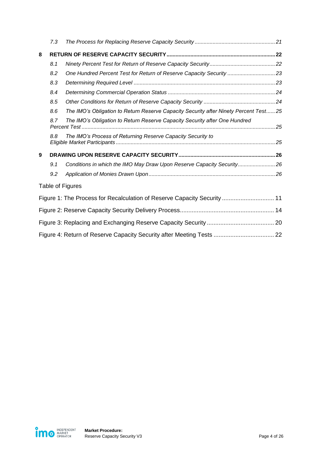|   | 7.3 |                                                                                      |  |
|---|-----|--------------------------------------------------------------------------------------|--|
| 8 |     |                                                                                      |  |
|   | 8.1 |                                                                                      |  |
|   | 8.2 | One Hundred Percent Test for Return of Reserve Capacity Security 23                  |  |
|   | 8.3 |                                                                                      |  |
|   | 8.4 |                                                                                      |  |
|   | 8.5 |                                                                                      |  |
|   | 8.6 | The IMO's Obligation to Return Reserve Capacity Security after Ninety Percent Test25 |  |
|   | 8.7 | The IMO's Obligation to Return Reserve Capacity Security after One Hundred           |  |
|   | 8.8 | The IMO's Process of Returning Reserve Capacity Security to                          |  |
| 9 |     |                                                                                      |  |
|   | 9.1 | Conditions in which the IMO May Draw Upon Reserve Capacity Security26                |  |
|   | 9.2 |                                                                                      |  |
|   |     | Table of Figures                                                                     |  |
|   |     | Figure 1: The Process for Recalculation of Reserve Capacity Security  11             |  |
|   |     |                                                                                      |  |
|   |     |                                                                                      |  |
|   |     | Figure 4: Return of Reserve Capacity Security after Meeting Tests  22                |  |

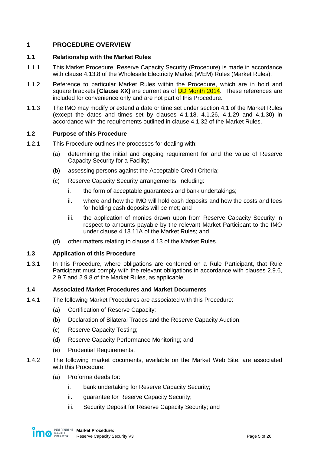# <span id="page-4-0"></span>**1 PROCEDURE OVERVIEW**

## <span id="page-4-1"></span>**1.1 Relationship with the Market Rules**

- 1.1.1 This Market Procedure: Reserve Capacity Security (Procedure) is made in accordance with clause 4.13.8 of the Wholesale Electricity Market (WEM) Rules (Market Rules).
- 1.1.2 Reference to particular Market Rules within the Procedure, which are in bold and square brackets **[Clause XX]** are current as of DD Month 2014. These references are included for convenience only and are not part of this Procedure.
- 1.1.3 The IMO may modify or extend a date or time set under section 4.1 of the Market Rules (except the dates and times set by clauses 4.1.18, 4.1.26, 4.1.29 and 4.1.30) in accordance with the requirements outlined in clause 4.1.32 of the Market Rules.

## <span id="page-4-2"></span>**1.2 Purpose of this Procedure**

- 1.2.1 This Procedure outlines the processes for dealing with:
	- (a) determining the initial and ongoing requirement for and the value of Reserve Capacity Security for a Facility;
	- (b) assessing persons against the Acceptable Credit Criteria;
	- (c) Reserve Capacity Security arrangements, including:
		- i. the form of acceptable guarantees and bank undertakings;
		- ii. where and how the IMO will hold cash deposits and how the costs and fees for holding cash deposits will be met; and
		- iii. the application of monies drawn upon from Reserve Capacity Security in respect to amounts payable by the relevant Market Participant to the IMO under clause 4.13.11A of the Market Rules; and
	- (d) other matters relating to clause 4.13 of the Market Rules.

### <span id="page-4-3"></span>**1.3 Application of this Procedure**

1.3.1 In this Procedure, where obligations are conferred on a Rule Participant, that Rule Participant must comply with the relevant obligations in accordance with clauses 2.9.6, 2.9.7 and 2.9.8 of the Market Rules, as applicable.

### <span id="page-4-4"></span>**1.4 Associated Market Procedures and Market Documents**

- 1.4.1 The following Market Procedures are associated with this Procedure:
	- (a) Certification of Reserve Capacity;
	- (b) Declaration of Bilateral Trades and the Reserve Capacity Auction;
	- (c) Reserve Capacity Testing;
	- (d) Reserve Capacity Performance Monitoring; and
	- (e) Prudential Requirements.
- <span id="page-4-5"></span>1.4.2 The following market documents, available on the Market Web Site, are associated with this Procedure:
	- (a) Proforma deeds for:
		- i. bank undertaking for Reserve Capacity Security;
		- ii. guarantee for Reserve Capacity Security;
		- iii. Security Deposit for Reserve Capacity Security; and

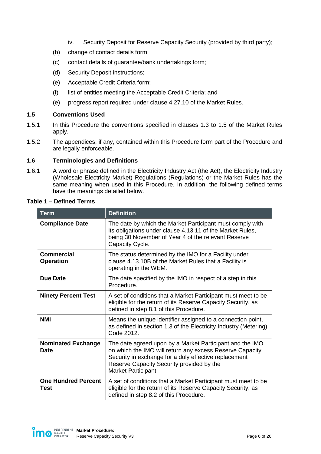- iv. Security Deposit for Reserve Capacity Security (provided by third party);
- (b) change of contact details form;
- (c) contact details of guarantee/bank undertakings form;
- (d) Security Deposit instructions;
- (e) Acceptable Credit Criteria form;
- (f) list of entities meeting the Acceptable Credit Criteria; and
- (e) progress report required under clause 4.27.10 of the Market Rules.

## <span id="page-5-0"></span>**1.5 Conventions Used**

- 1.5.1 In this Procedure the conventions specified in clauses 1.3 to 1.5 of the Market Rules apply.
- 1.5.2 The appendices, if any, contained within this Procedure form part of the Procedure and are legally enforceable.

### <span id="page-5-1"></span>**1.6 Terminologies and Definitions**

1.6.1 A word or phrase defined in the Electricity Industry Act (the Act), the Electricity Industry (Wholesale Electricity Market) Regulations (Regulations) or the Market Rules has the same meaning when used in this Procedure. In addition, the following defined terms have the meanings detailed below.

| <b>Term</b>                              | <b>Definition</b>                                                                                                                                                                                                                                 |  |
|------------------------------------------|---------------------------------------------------------------------------------------------------------------------------------------------------------------------------------------------------------------------------------------------------|--|
| <b>Compliance Date</b>                   | The date by which the Market Participant must comply with<br>its obligations under clause 4.13.11 of the Market Rules,<br>being 30 November of Year 4 of the relevant Reserve<br>Capacity Cycle.                                                  |  |
| <b>Commercial</b><br><b>Operation</b>    | The status determined by the IMO for a Facility under<br>clause 4.13.10B of the Market Rules that a Facility is<br>operating in the WEM.                                                                                                          |  |
| <b>Due Date</b>                          | The date specified by the IMO in respect of a step in this<br>Procedure.                                                                                                                                                                          |  |
| <b>Ninety Percent Test</b>               | A set of conditions that a Market Participant must meet to be<br>eligible for the return of its Reserve Capacity Security, as<br>defined in step 8.1 of this Procedure.                                                                           |  |
| <b>NMI</b>                               | Means the unique identifier assigned to a connection point,<br>as defined in section 1.3 of the Electricity Industry (Metering)<br>Code 2012.                                                                                                     |  |
| <b>Nominated Exchange</b><br><b>Date</b> | The date agreed upon by a Market Participant and the IMO<br>on which the IMO will return any excess Reserve Capacity<br>Security in exchange for a duly effective replacement<br>Reserve Capacity Security provided by the<br>Market Participant. |  |
| <b>One Hundred Percent</b><br>Test       | A set of conditions that a Market Participant must meet to be<br>eligible for the return of its Reserve Capacity Security, as<br>defined in step 8.2 of this Procedure.                                                                           |  |

#### **Table 1 – Defined Terms**

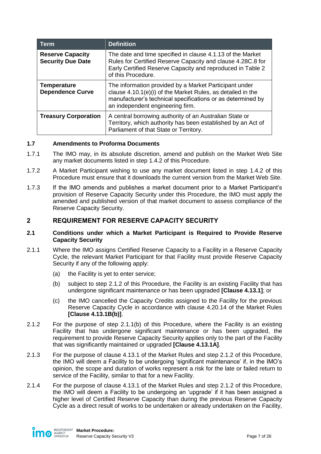| <b>Term</b>                                         | <b>Definition</b>                                                                                                                                                                                                        |
|-----------------------------------------------------|--------------------------------------------------------------------------------------------------------------------------------------------------------------------------------------------------------------------------|
| <b>Reserve Capacity</b><br><b>Security Due Date</b> | The date and time specified in clause 4.1.13 of the Market<br>Rules for Certified Reserve Capacity and clause 4.28C.8 for<br>Early Certified Reserve Capacity and reproduced in Table 2<br>of this Procedure.            |
| <b>Temperature</b><br><b>Dependence Curve</b>       | The information provided by a Market Participant under<br>clause 4.10.1(e)(i) of the Market Rules, as detailed in the<br>manufacturer's technical specifications or as determined by<br>an independent engineering firm. |
| <b>Treasury Corporation</b>                         | A central borrowing authority of an Australian State or<br>Territory, which authority has been established by an Act of<br>Parliament of that State or Territory.                                                        |

### <span id="page-6-0"></span>**1.7 Amendments to Proforma Documents**

- 1.7.1 The IMO may, in its absolute discretion, amend and publish on the Market Web Site any market documents listed in step [1.4.2](#page-4-5) of this Procedure.
- 1.7.2 A Market Participant wishing to use any market document listed in step [1.4.2](#page-4-5) of this Procedure must ensure that it downloads the current version from the Market Web Site.
- 1.7.3 If the IMO amends and publishes a market document prior to a Market Participant's provision of Reserve Capacity Security under this Procedure, the IMO must apply the amended and published version of that market document to assess compliance of the Reserve Capacity Security.

# <span id="page-6-1"></span>**2 REQUIREMENT FOR RESERVE CAPACITY SECURITY**

#### <span id="page-6-2"></span>**2.1 Conditions under which a Market Participant is Required to Provide Reserve Capacity Security**

- <span id="page-6-4"></span>2.1.1 Where the IMO assigns Certified Reserve Capacity to a Facility in a Reserve Capacity Cycle, the relevant Market Participant for that Facility must provide Reserve Capacity Security if any of the following apply:
	- (a) the Facility is yet to enter service;
	- (b) subject to step [2.1.2](#page-6-3) of this Procedure, the Facility is an existing Facility that has undergone significant maintenance or has been upgraded **[Clause 4.13.1]**; or
	- (c) the IMO cancelled the Capacity Credits assigned to the Facility for the previous Reserve Capacity Cycle in accordance with clause 4.20.14 of the Market Rules **[Clause 4.13.1B(b)]**.
- <span id="page-6-3"></span>2.1.2 For the purpose of step [2.1.1\(b\)](#page-6-4) of this Procedure, where the Facility is an existing Facility that has undergone significant maintenance or has been upgraded, the requirement to provide Reserve Capacity Security applies only to the part of the Facility that was significantly maintained or upgraded **[Clause 4.13.1A]**.
- 2.1.3 For the purpose of clause 4.13.1 of the Market Rules and step [2.1.2](#page-6-3) of this Procedure, the IMO will deem a Facility to be undergoing 'significant maintenance' if, in the IMO's opinion, the scope and duration of works represent a risk for the late or failed return to service of the Facility, similar to that for a new Facility.
- 2.1.4 For the purpose of clause 4.13.1 of the Market Rules and step [2.1.2](#page-6-3) of this Procedure, the IMO will deem a Facility to be undergoing an 'upgrade' if it has been assigned a higher level of Certified Reserve Capacity than during the previous Reserve Capacity Cycle as a direct result of works to be undertaken or already undertaken on the Facility,

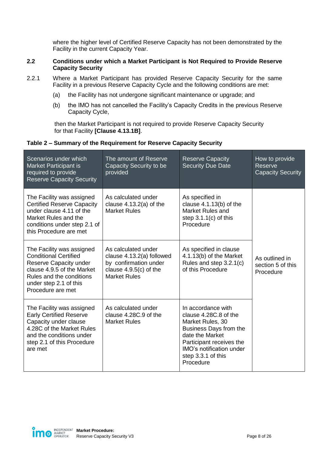where the higher level of Certified Reserve Capacity has not been demonstrated by the Facility in the current Capacity Year.

### <span id="page-7-0"></span>**2.2 Conditions under which a Market Participant is Not Required to Provide Reserve Capacity Security**

- 2.2.1 Where a Market Participant has provided Reserve Capacity Security for the same Facility in a previous Reserve Capacity Cycle and the following conditions are met:
	- (a) the Facility has not undergone significant maintenance or upgrade; and
	- (b) the IMO has not cancelled the Facility's Capacity Credits in the previous Reserve Capacity Cycle,

 then the Market Participant is not required to provide Reserve Capacity Security for that Facility **[Clause 4.13.1B]**.

### **Table 2 – Summary of the Requirement for Reserve Capacity Security**

| Scenarios under which<br><b>Market Participant is</b><br>required to provide<br><b>Reserve Capacity Security</b>                                                                             | The amount of Reserve<br>Capacity Security to be<br>provided                                                                 | <b>Reserve Capacity</b><br><b>Security Due Date</b>                                                                                                                                                     | How to provide<br>Reserve<br><b>Capacity Security</b> |
|----------------------------------------------------------------------------------------------------------------------------------------------------------------------------------------------|------------------------------------------------------------------------------------------------------------------------------|---------------------------------------------------------------------------------------------------------------------------------------------------------------------------------------------------------|-------------------------------------------------------|
| The Facility was assigned<br><b>Certified Reserve Capacity</b><br>under clause 4.11 of the<br>Market Rules and the<br>conditions under step 2.1 of<br>this Procedure are met                 | As calculated under<br>clause $4.13.2(a)$ of the<br><b>Market Rules</b>                                                      | As specified in<br>clause $4.1.13(b)$ of the<br>Market Rules and<br>step $3.1.1(c)$ of this<br>Procedure                                                                                                |                                                       |
| The Facility was assigned<br><b>Conditional Certified</b><br>Reserve Capacity under<br>clause 4.9.5 of the Market<br>Rules and the conditions<br>under step 2.1 of this<br>Procedure are met | As calculated under<br>clause 4.13.2(a) followed<br>by confirmation under<br>clause $4.9.5(c)$ of the<br><b>Market Rules</b> | As specified in clause<br>4.1.13(b) of the Market<br>Rules and step 3.2.1(c)<br>of this Procedure                                                                                                       | As outlined in<br>section 5 of this<br>Procedure      |
| The Facility was assigned<br><b>Early Certified Reserve</b><br>Capacity under clause<br>4.28C of the Market Rules<br>and the conditions under<br>step 2.1 of this Procedure<br>are met       | As calculated under<br>clause 4.28C.9 of the<br><b>Market Rules</b>                                                          | In accordance with<br>clause 4.28C.8 of the<br>Market Rules, 30<br>Business Days from the<br>date the Market<br>Participant receives the<br>IMO's notification under<br>step 3.3.1 of this<br>Procedure |                                                       |

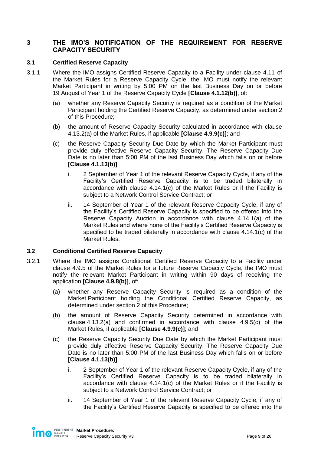# <span id="page-8-0"></span>**3 THE IMO'S NOTIFICATION OF THE REQUIREMENT FOR RESERVE CAPACITY SECURITY**

## <span id="page-8-1"></span>**3.1 Certified Reserve Capacity**

- <span id="page-8-5"></span><span id="page-8-3"></span>3.1.1 Where the IMO assigns Certified Reserve Capacity to a Facility under clause 4.11 of the Market Rules for a Reserve Capacity Cycle, the IMO must notify the relevant Market Participant in writing by 5:00 PM on the last Business Day on or before 19 August of Year 1 of the Reserve Capacity Cycle **[Clause 4.1.12(b)]**, of:
	- (a) whether any Reserve Capacity Security is required as a condition of the Market Participant holding the Certified Reserve Capacity, as determined under section [2](#page-6-1) of this Procedure;
	- (b) the amount of Reserve Capacity Security calculated in accordance with clause 4.13.2(a) of the Market Rules, if applicable **[Clause 4.9.9(c)]**; and
	- (c) the Reserve Capacity Security Due Date by which the Market Participant must provide duly effective Reserve Capacity Security. The Reserve Capacity Due Date is no later than 5:00 PM of the last Business Day which falls on or before **[Clause 4.1.13(b)]**:
		- i. 2 September of Year 1 of the relevant Reserve Capacity Cycle, if any of the Facility's Certified Reserve Capacity is to be traded bilaterally in accordance with clause 4.14.1(c) of the Market Rules or if the Facility is subject to a Network Control Service Contract; or
		- ii. 14 September of Year 1 of the relevant Reserve Capacity Cycle, if any of the Facility's Certified Reserve Capacity is specified to be offered into the Reserve Capacity Auction in accordance with clause 4.14.1(a) of the Market Rules and where none of the Facility's Certified Reserve Capacity is specified to be traded bilaterally in accordance with clause 4.14.1(c) of the Market Rules.

### <span id="page-8-2"></span>**3.2 Conditional Certified Reserve Capacity**

- <span id="page-8-6"></span><span id="page-8-4"></span>3.2.1 Where the IMO assigns Conditional Certified Reserve Capacity to a Facility under clause 4.9.5 of the Market Rules for a future Reserve Capacity Cycle, the IMO must notify the relevant Market Participant in writing within 90 days of receiving the application **[Clause 4.9.8(b)]**, of:
	- (a) whether any Reserve Capacity Security is required as a condition of the Market Participant holding the Conditional Certified Reserve Capacity, as determined under section [2](#page-6-1) of this Procedure;
	- (b) the amount of Reserve Capacity Security determined in accordance with clause 4.13.2(a) and confirmed in accordance with clause 4.9.5(c) of the Market Rules, if applicable **[Clause 4.9.9(c)]**; and
	- (c) the Reserve Capacity Security Due Date by which the Market Participant must provide duly effective Reserve Capacity Security. The Reserve Capacity Due Date is no later than 5:00 PM of the last Business Day which falls on or before **[Clause 4.1.13(b)]**:
		- i. 2 September of Year 1 of the relevant Reserve Capacity Cycle, if any of the Facility's Certified Reserve Capacity is to be traded bilaterally in accordance with clause 4.14.1(c) of the Market Rules or if the Facility is subject to a Network Control Service Contract; or
		- ii. 14 September of Year 1 of the relevant Reserve Capacity Cycle, if any of the Facility's Certified Reserve Capacity is specified to be offered into the

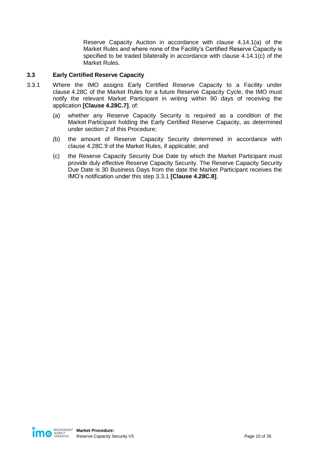Reserve Capacity Auction in accordance with clause 4.14.1(a) of the Market Rules and where none of the Facility's Certified Reserve Capacity is specified to be traded bilaterally in accordance with clause 4.14.1(c) of the Market Rules.

## <span id="page-9-0"></span>**3.3 Early Certified Reserve Capacity**

- <span id="page-9-1"></span>3.3.1 Where the IMO assigns Early Certified Reserve Capacity to a Facility under clause 4.28C of the Market Rules for a future Reserve Capacity Cycle, the IMO must notify the relevant Market Participant in writing within 90 days of receiving the application **[Clause 4.28C.7]**, of:
	- (a) whether any Reserve Capacity Security is required as a condition of the Market Participant holding the Early Certified Reserve Capacity, as determined under section [2](#page-6-1) of this Procedure;
	- (b) the amount of Reserve Capacity Security determined in accordance with clause 4.28C.9 of the Market Rules, if applicable; and
	- (c) the Reserve Capacity Security Due Date by which the Market Participant must provide duly effective Reserve Capacity Security. The Reserve Capacity Security Due Date is 30 Business Days from the date the Market Participant receives the IMO's notification under this step [3.3.1](#page-9-1) **[Clause 4.28C.8]**.

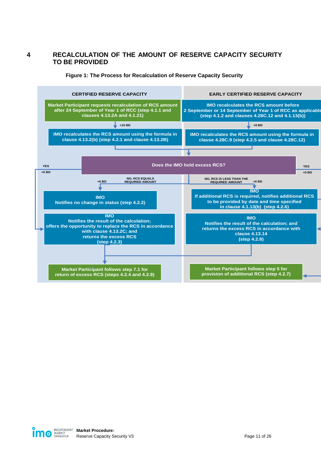# <span id="page-10-0"></span>**4 RECALCULATION OF THE AMOUNT OF RESERVE CAPACITY SECURITY TO BE PROVIDED**

#### **Figure 1: The Process for Recalculation of Reserve Capacity Security**

<span id="page-10-1"></span>

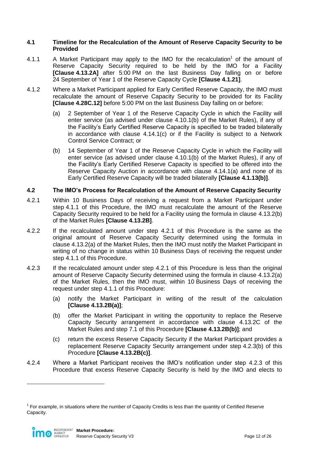#### <span id="page-11-0"></span>**4.1 Timeline for the Recalculation of the Amount of Reserve Capacity Security to be Provided**

- <span id="page-11-2"></span>4.1.1  $\blacksquare$  A Market Participant may apply to the IMO for the recalculation<sup>1</sup> of the amount of Reserve Capacity Security required to be held by the IMO for a Facility **[Clause 4.13.2A]** after 5:00 PM on the last Business Day falling on or before 24 September of Year 1 of the Reserve Capacity Cycle **[Clause 4.1.21]**.
- <span id="page-11-6"></span>4.1.2 Where a Market Participant applied for Early Certified Reserve Capacity, the IMO must recalculate the amount of Reserve Capacity Security to be provided for its Facility **[Clause 4.28C.12]** before 5:00 PM on the last Business Day falling on or before:
	- (a) 2 September of Year 1 of the Reserve Capacity Cycle in which the Facility will enter service (as advised under clause 4.10.1(b) of the Market Rules), if any of the Facility's Early Certified Reserve Capacity is specified to be traded bilaterally in accordance with clause 4.14.1(c) or if the Facility is subject to a Network Control Service Contract; or
	- (b) 14 September of Year 1 of the Reserve Capacity Cycle in which the Facility will enter service (as advised under clause 4.10.1(b) of the Market Rules), if any of the Facility's Early Certified Reserve Capacity is specified to be offered into the Reserve Capacity Auction in accordance with clause 4.14.1(a) and none of its Early Certified Reserve Capacity will be traded bilaterally **[Clause 4.1.13(b)]**.

## <span id="page-11-1"></span>**4.2 The IMO's Process for Recalculation of the Amount of Reserve Capacity Security**

- <span id="page-11-3"></span>4.2.1 Within 10 Business Days of receiving a request from a Market Participant under step [4.1.1](#page-11-2) of this Procedure, the IMO must recalculate the amount of the Reserve Capacity Security required to be held for a Facility using the formula in clause 4.13.2(b) of the Market Rules **[Clause 4.13.2B]**.
- 4.2.2 If the recalculated amount under step [4.2.1](#page-11-3) of this Procedure is the same as the original amount of Reserve Capacity Security determined using the formula in clause 4.13.2(a) of the Market Rules, then the IMO must notify the Market Participant in writing of no change in status within 10 Business Days of receiving the request under step [4.1.1](#page-11-2) of this Procedure.
- <span id="page-11-5"></span><span id="page-11-4"></span>4.2.3 If the recalculated amount under step [4.2.1](#page-11-3) of this Procedure is less than the original amount of Reserve Capacity Security determined using the formula in clause 4.13.2(a) of the Market Rules, then the IMO must, within 10 Business Days of receiving the request under step [4.1.1](#page-11-2) of this Procedure:
	- (a) notify the Market Participant in writing of the result of the calculation **[Clause 4.13.2B(a)]**;
	- (b) offer the Market Participant in writing the opportunity to replace the Reserve Capacity Security arrangement in accordance with clause 4.13.2C of the Market Rules and step [7.1](#page-19-1) of this Procedure **[Clause 4.13.2B(b)]**; and
	- (c) return the excess Reserve Capacity Security if the Market Participant provides a replacement Reserve Capacity Security arrangement under step [4.2.3\(b\)](#page-11-4) of this Procedure **[Clause 4.13.2B(c)]**.
- <span id="page-11-7"></span>4.2.4 Where a Market Participant receives the IMO's notification under step [4.2.3](#page-11-5) of this Procedure that excess Reserve Capacity Security is held by the IMO and elects to

 $1$  For example, in situations where the number of Capacity Credits is less than the quantity of Certified Reserve Capacity.



 $\overline{a}$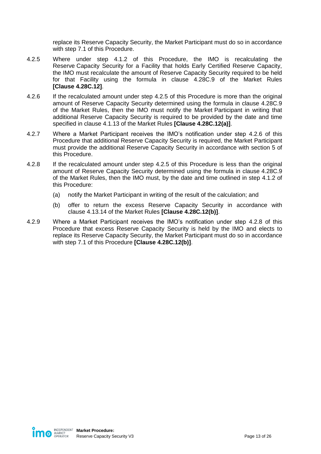replace its Reserve Capacity Security, the Market Participant must do so in accordance with step [7.1](#page-19-1) of this Procedure.

- <span id="page-12-0"></span>4.2.5 Where under step [4.1.2](#page-11-6) of this Procedure, the IMO is recalculating the Reserve Capacity Security for a Facility that holds Early Certified Reserve Capacity, the IMO must recalculate the amount of Reserve Capacity Security required to be held for that Facility using the formula in clause 4.28C.9 of the Market Rules **[Clause 4.28C.12]**.
- <span id="page-12-1"></span>4.2.6 If the recalculated amount under step [4.2.5](#page-12-0) of this Procedure is more than the original amount of Reserve Capacity Security determined using the formula in clause 4.28C.9 of the Market Rules, then the IMO must notify the Market Participant in writing that additional Reserve Capacity Security is required to be provided by the date and time specified in clause 4.1.13 of the Market Rules **[Clause 4.28C.12(a)]**.
- 4.2.7 Where a Market Participant receives the IMO's notification under step [4.2.6](#page-12-1) of this Procedure that additional Reserve Capacity Security is required, the Market Participant must provide the additional Reserve Capacity Security in accordance with section [5](#page-13-0) of this Procedure.
- <span id="page-12-2"></span>4.2.8 If the recalculated amount under step [4.2.5](#page-12-0) of this Procedure is less than the original amount of Reserve Capacity Security determined using the formula in clause 4.28C.9 of the Market Rules, then the IMO must, by the date and time outlined in step [4.1.2](#page-11-6) of this Procedure:
	- (a) notify the Market Participant in writing of the result of the calculation; and
	- (b) offer to return the excess Reserve Capacity Security in accordance with clause 4.13.14 of the Market Rules **[Clause 4.28C.12(b)]**.
- <span id="page-12-3"></span>4.2.9 Where a Market Participant receives the IMO's notification under step [4.2.8](#page-12-2) of this Procedure that excess Reserve Capacity Security is held by the IMO and elects to replace its Reserve Capacity Security, the Market Participant must do so in accordance with step [7.1](#page-19-1) of this Procedure **[Clause 4.28C.12(b)]**.

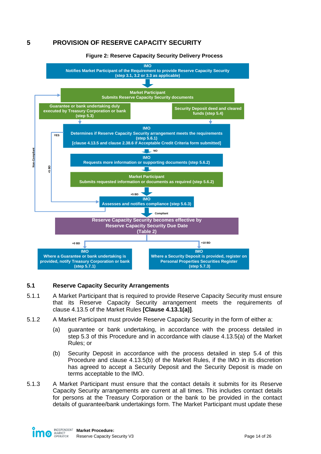# <span id="page-13-0"></span>**5 PROVISION OF RESERVE CAPACITY SECURITY**

<span id="page-13-2"></span>

#### **Figure 2: Reserve Capacity Security Delivery Process**

### <span id="page-13-1"></span>**5.1 Reserve Capacity Security Arrangements**

- 5.1.1 A Market Participant that is required to provide Reserve Capacity Security must ensure that its Reserve Capacity Security arrangement meets the requirements of clause 4.13.5 of the Market Rules **[Clause 4.13.1(a)]**.
- <span id="page-13-3"></span>5.1.2 A Market Participant must provide Reserve Capacity Security in the form of either a:
	- (a) guarantee or bank undertaking, in accordance with the process detailed in step [5.3](#page-14-1) of this Procedure and in accordance with clause 4.13.5(a) of the Market Rules; or
	- (b) Security Deposit in accordance with the process detailed in step [5.4](#page-15-0) of this Procedure and clause 4.13.5(b) of the Market Rules, if the IMO in its discretion has agreed to accept a Security Deposit and the Security Deposit is made on terms acceptable to the IMO.
- 5.1.3 A Market Participant must ensure that the contact details it submits for its Reserve Capacity Security arrangements are current at all times. This includes contact details for persons at the Treasury Corporation or the bank to be provided in the contact details of guarantee/bank undertakings form. The Market Participant must update these

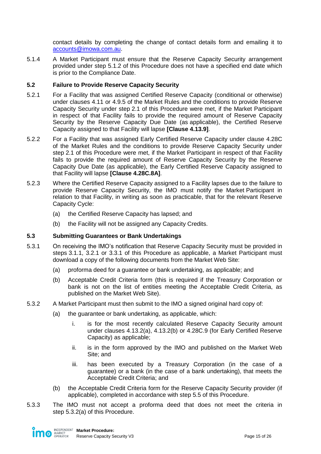contact details by completing the change of contact details form and emailing it to [accounts@imowa.com.au.](mailto:accounts@imowa.com.au)

5.1.4 A Market Participant must ensure that the Reserve Capacity Security arrangement provided under step [5.1.2](#page-13-3) of this Procedure does not have a specified end date which is prior to the Compliance Date.

## <span id="page-14-0"></span>**5.2 Failure to Provide Reserve Capacity Security**

- 5.2.1 For a Facility that was assigned Certified Reserve Capacity (conditional or otherwise) under clauses 4.11 or 4.9.5 of the Market Rules and the conditions to provide Reserve Capacity Security under step [2.1](#page-6-2) of this Procedure were met, if the Market Participant in respect of that Facility fails to provide the required amount of Reserve Capacity Security by the Reserve Capacity Due Date (as applicable), the Certified Reserve Capacity assigned to that Facility will lapse **[Clause 4.13.9]**.
- 5.2.2 For a Facility that was assigned Early Certified Reserve Capacity under clause 4.28C of the Market Rules and the conditions to provide Reserve Capacity Security under step [2.1](#page-6-2) of this Procedure were met, if the Market Participant in respect of that Facility fails to provide the required amount of Reserve Capacity Security by the Reserve Capacity Due Date (as applicable), the Early Certified Reserve Capacity assigned to that Facility will lapse **[Clause 4.28C.8A]**.
- 5.2.3 Where the Certified Reserve Capacity assigned to a Facility lapses due to the failure to provide Reserve Capacity Security, the IMO must notify the Market Participant in relation to that Facility, in writing as soon as practicable, that for the relevant Reserve Capacity Cycle:
	- (a) the Certified Reserve Capacity has lapsed; and
	- (b) the Facility will not be assigned any Capacity Credits.

### <span id="page-14-1"></span>**5.3 Submitting Guarantees or Bank Undertakings**

- 5.3.1 On receiving the IMO's notification that Reserve Capacity Security must be provided in steps [3.1.1,](#page-8-5) [3.2.1](#page-8-6) or [3.3.1](#page-9-1) of this Procedure as applicable, a Market Participant must download a copy of the following documents from the Market Web Site:
	- (a) proforma deed for a guarantee or bank undertaking, as applicable; and
	- (b) Acceptable Credit Criteria form (this is required if the Treasury Corporation or bank is not on the list of entities meeting the Acceptable Credit Criteria, as published on the Market Web Site).
- <span id="page-14-2"></span>5.3.2 A Market Participant must then submit to the IMO a signed original hard copy of:
	- (a) the guarantee or bank undertaking, as applicable, which:
		- i. is for the most recently calculated Reserve Capacity Security amount under clauses 4.13.2(a), 4.13.2(b) or 4.28C.9 (for Early Certified Reserve Capacity) as applicable;
		- ii. is in the form approved by the IMO and published on the Market Web Site; and
		- iii. has been executed by a Treasury Corporation (in the case of a guarantee) or a bank (in the case of a bank undertaking), that meets the Acceptable Credit Criteria; and
	- (b) the Acceptable Credit Criteria form for the Reserve Capacity Security provider (if applicable), completed in accordance with step [5.5](#page-16-0) of this Procedure.
- 5.3.3 The IMO must not accept a proforma deed that does not meet the criteria in step [5.3.2\(a\)](#page-14-2) of this Procedure.

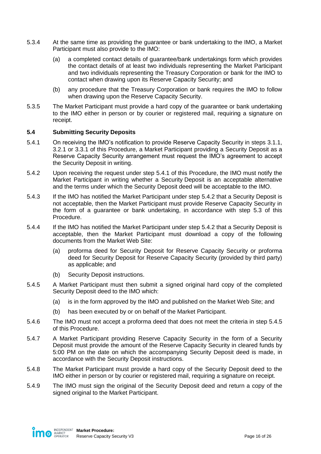- 5.3.4 At the same time as providing the guarantee or bank undertaking to the IMO, a Market Participant must also provide to the IMO:
	- (a) a completed contact details of guarantee/bank undertakings form which provides the contact details of at least two individuals representing the Market Participant and two individuals representing the Treasury Corporation or bank for the IMO to contact when drawing upon its Reserve Capacity Security; and
	- (b) any procedure that the Treasury Corporation or bank requires the IMO to follow when drawing upon the Reserve Capacity Security.
- 5.3.5 The Market Participant must provide a hard copy of the guarantee or bank undertaking to the IMO either in person or by courier or registered mail, requiring a signature on receipt.

### <span id="page-15-0"></span>**5.4 Submitting Security Deposits**

- <span id="page-15-1"></span>5.4.1 On receiving the IMO's notification to provide Reserve Capacity Security in steps [3.1.1,](#page-8-5) [3.2.1](#page-8-6) or [3.3.1](#page-9-1) of this Procedure, a Market Participant providing a Security Deposit as a Reserve Capacity Security arrangement must request the IMO's agreement to accept the Security Deposit in writing.
- <span id="page-15-2"></span>5.4.2 Upon receiving the request under step [5.4.1](#page-15-1) of this Procedure, the IMO must notify the Market Participant in writing whether a Security Deposit is an acceptable alternative and the terms under which the Security Deposit deed will be acceptable to the IMO.
- 5.4.3 If the IMO has notified the Market Participant under step [5.4.2](#page-15-2) that a Security Deposit is not acceptable, then the Market Participant must provide Reserve Capacity Security in the form of a guarantee or bank undertaking, in accordance with step [5.3](#page-14-1) of this Procedure.
- 5.4.4 If the IMO has notified the Market Participant under step [5.4.2](#page-15-2) that a Security Deposit is acceptable, then the Market Participant must download a copy of the following documents from the Market Web Site:
	- (a) proforma deed for Security Deposit for Reserve Capacity Security or proforma deed for Security Deposit for Reserve Capacity Security (provided by third party) as applicable; and
	- (b) Security Deposit instructions.
- <span id="page-15-3"></span>5.4.5 A Market Participant must then submit a signed original hard copy of the completed Security Deposit deed to the IMO which:
	- (a) is in the form approved by the IMO and published on the Market Web Site; and
	- (b) has been executed by or on behalf of the Market Participant.
- 5.4.6 The IMO must not accept a proforma deed that does not meet the criteria in step [5.4.5](#page-15-3) of this Procedure.
- 5.4.7 A Market Participant providing Reserve Capacity Security in the form of a Security Deposit must provide the amount of the Reserve Capacity Security in cleared funds by 5:00 PM on the date on which the accompanying Security Deposit deed is made, in accordance with the Security Deposit instructions.
- 5.4.8 The Market Participant must provide a hard copy of the Security Deposit deed to the IMO either in person or by courier or registered mail, requiring a signature on receipt.
- 5.4.9 The IMO must sign the original of the Security Deposit deed and return a copy of the signed original to the Market Participant.

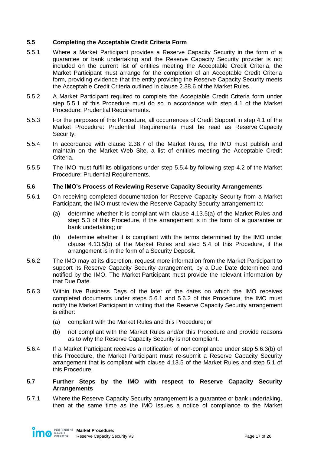## <span id="page-16-0"></span>**5.5 Completing the Acceptable Credit Criteria Form**

- <span id="page-16-3"></span>5.5.1 Where a Market Participant provides a Reserve Capacity Security in the form of a guarantee or bank undertaking and the Reserve Capacity Security provider is not included on the current list of entities meeting the Acceptable Credit Criteria, the Market Participant must arrange for the completion of an Acceptable Credit Criteria form, providing evidence that the entity providing the Reserve Capacity Security meets the Acceptable Credit Criteria outlined in clause 2.38.6 of the Market Rules.
- 5.5.2 A Market Participant required to complete the Acceptable Credit Criteria form under step [5.5.1](#page-16-3) of this Procedure must do so in accordance with step 4.1 of the Market Procedure: Prudential Requirements.
- 5.5.3 For the purposes of this Procedure, all occurrences of Credit Support in step 4.1 of the Market Procedure: Prudential Requirements must be read as Reserve Capacity Security.
- <span id="page-16-4"></span>5.5.4 In accordance with clause 2.38.7 of the Market Rules, the IMO must publish and maintain on the Market Web Site, a list of entities meeting the Acceptable Credit Criteria.
- 5.5.5 The IMO must fulfil its obligations under step [5.5.4](#page-16-4) by following step 4.2 of the Market Procedure: Prudential Requirements.

### <span id="page-16-1"></span>**5.6 The IMO's Process of Reviewing Reserve Capacity Security Arrangements**

- <span id="page-16-5"></span>5.6.1 On receiving completed documentation for Reserve Capacity Security from a Market Participant, the IMO must review the Reserve Capacity Security arrangement to:
	- (a) determine whether it is compliant with clause 4.13.5(a) of the Market Rules and step [5.3](#page-14-1) of this Procedure, if the arrangement is in the form of a guarantee or bank undertaking; or
	- (b) determine whether it is compliant with the terms determined by the IMO under clause 4.13.5(b) of the Market Rules and step [5.4](#page-15-0) of this Procedure, if the arrangement is in the form of a Security Deposit.
- <span id="page-16-6"></span>5.6.2 The IMO may at its discretion, request more information from the Market Participant to support its Reserve Capacity Security arrangement, by a Due Date determined and notified by the IMO. The Market Participant must provide the relevant information by that Due Date.
- 5.6.3 Within five Business Days of the later of the dates on which the IMO receives completed documents under steps [5.6.1](#page-16-5) and [5.6.2](#page-16-6) of this Procedure, the IMO must notify the Market Participant in writing that the Reserve Capacity Security arrangement is either:
	- (a) compliant with the Market Rules and this Procedure; or
	- (b) not compliant with the Market Rules and/or this Procedure and provide reasons as to why the Reserve Capacity Security is not compliant.
- <span id="page-16-8"></span><span id="page-16-7"></span>5.6.4 If a Market Participant receives a notification of non-compliance under step [5.6.3\(b\)](#page-16-7) of this Procedure, the Market Participant must re-submit a Reserve Capacity Security arrangement that is compliant with clause 4.13.5 of the Market Rules and step [5.1](#page-13-1) of this Procedure.

#### <span id="page-16-2"></span>**5.7 Further Steps by the IMO with respect to Reserve Capacity Security Arrangements**

<span id="page-16-9"></span>5.7.1 Where the Reserve Capacity Security arrangement is a guarantee or bank undertaking, then at the same time as the IMO issues a notice of compliance to the Market

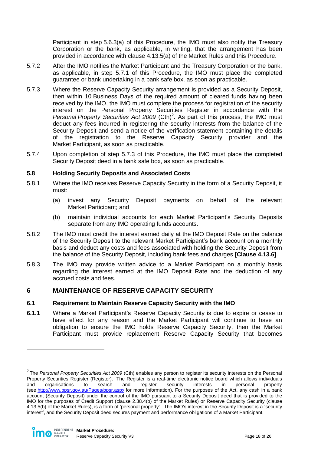Participant in step [5.6.3\(a\)](#page-16-8) of this Procedure, the IMO must also notify the Treasury Corporation or the bank, as applicable, in writing, that the arrangement has been provided in accordance with clause 4.13.5(a) of the Market Rules and this Procedure.

- 5.7.2 After the IMO notifies the Market Participant and the Treasury Corporation or the bank, as applicable, in step [5.7.1](#page-16-9) of this Procedure, the IMO must place the completed guarantee or bank undertaking in a bank safe box, as soon as practicable.
- <span id="page-17-3"></span>5.7.3 Where the Reserve Capacity Security arrangement is provided as a Security Deposit, then within 10 Business Days of the required amount of cleared funds having been received by the IMO, the IMO must complete the process for registration of the security interest on the Personal Property Securities Register in accordance with the Personal Property Securities Act 2009 (Cth)<sup>2</sup>. As part of this process, the IMO must deduct any fees incurred in registering the security interests from the balance of the Security Deposit and send a notice of the verification statement containing the details of the registration to the Reserve Capacity Security provider and the Market Participant, as soon as practicable.
- 5.7.4 Upon completion of step [5.7.3](#page-17-3) of this Procedure, the IMO must place the completed Security Deposit deed in a bank safe box, as soon as practicable.

### <span id="page-17-0"></span>**5.8 Holding Security Deposits and Associated Costs**

- 5.8.1 Where the IMO receives Reserve Capacity Security in the form of a Security Deposit, it must:
	- (a) invest any Security Deposit payments on behalf of the relevant Market Participant; and
	- (b) maintain individual accounts for each Market Participant's Security Deposits separate from any IMO operating funds accounts.
- 5.8.2 The IMO must credit the interest earned daily at the IMO Deposit Rate on the balance of the Security Deposit to the relevant Market Participant's bank account on a monthly basis and deduct any costs and fees associated with holding the Security Deposit from the balance of the Security Deposit, including bank fees and charges **[Clause 4.13.6]**.
- 5.8.3 The IMO may provide written advice to a Market Participant on a monthly basis regarding the interest earned at the IMO Deposit Rate and the deduction of any accrued costs and fees.

# <span id="page-17-1"></span>**6 MAINTENANCE OF RESERVE CAPACITY SECURITY**

### <span id="page-17-2"></span>**6.1 Requirement to Maintain Reserve Capacity Security with the IMO**

**6.1.1** Where a Market Participant's Reserve Capacity Security is due to expire or cease to have effect for any reason and the Market Participant will continue to have an obligation to ensure the IMO holds Reserve Capacity Security, then the Market Participant must provide replacement Reserve Capacity Security that becomes

 $\overline{a}$ 

<sup>2</sup> The *Personal Property Securities Act 2009* (Cth) enables any person to register its security interests on the Personal Property Securities Register (Register). The Register is a real-time electronic notice board which allows individuals and organisations to search and register security interests in personal property (see <http://www.ppsr.gov.au/Pages/ppsr.aspx> for more information). For the purposes of the Act, any cash in a bank account (Security Deposit) under the control of the IMO pursuant to a Security Deposit deed that is provided to the IMO for the purposes of Credit Support (clause 2.38.4(b) of the Market Rules) or Reserve Capacity Security (clause 4.13.5(b) of the Market Rules), is a form of 'personal property'. The IMO's interest in the Security Deposit is a 'security interest', and the Security Deposit deed secures payment and performance obligations of a Market Participant.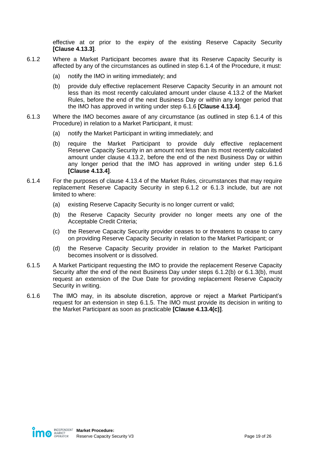effective at or prior to the expiry of the existing Reserve Capacity Security **[Clause 4.13.3]**.

- <span id="page-18-4"></span><span id="page-18-2"></span>6.1.2 Where a Market Participant becomes aware that its Reserve Capacity Security is affected by any of the circumstances as outlined in step [6.1.4](#page-18-0) of the Procedure, it must:
	- (a) notify the IMO in writing immediately; and
	- (b) provide duly effective replacement Reserve Capacity Security in an amount not less than its most recently calculated amount under clause 4.13.2 of the Market Rules, before the end of the next Business Day or within any longer period that the IMO has approved in writing under step [6.1.6](#page-18-1) **[Clause 4.13.4]**.
- <span id="page-18-5"></span><span id="page-18-3"></span>6.1.3 Where the IMO becomes aware of any circumstance (as outlined in step [6.1.4](#page-18-0) of this Procedure) in relation to a Market Participant, it must:
	- (a) notify the Market Participant in writing immediately; and
	- (b) require the Market Participant to provide duly effective replacement Reserve Capacity Security in an amount not less than its most recently calculated amount under clause 4.13.2, before the end of the next Business Day or within any longer period that the IMO has approved in writing under step [6.1.6](#page-18-1) **[Clause 4.13.4]**.
- <span id="page-18-0"></span>6.1.4 For the purposes of clause 4.13.4 of the Market Rules, circumstances that may require replacement Reserve Capacity Security in step [6.1.2](#page-18-2) or [6.1.3](#page-18-3) include, but are not limited to where:
	- (a) existing Reserve Capacity Security is no longer current or valid;
	- (b) the Reserve Capacity Security provider no longer meets any one of the Acceptable Credit Criteria;
	- (c) the Reserve Capacity Security provider ceases to or threatens to cease to carry on providing Reserve Capacity Security in relation to the Market Participant; or
	- (d) the Reserve Capacity Security provider in relation to the Market Participant becomes insolvent or is dissolved.
- <span id="page-18-6"></span>6.1.5 A Market Participant requesting the IMO to provide the replacement Reserve Capacity Security after the end of the next Business Day under steps [6.1.2\(b\)](#page-18-4) or [6.1.3\(b\),](#page-18-5) must request an extension of the Due Date for providing replacement Reserve Capacity Security in writing.
- <span id="page-18-1"></span>6.1.6 The IMO may, in its absolute discretion, approve or reject a Market Participant's request for an extension in step [6.1.5.](#page-18-6) The IMO must provide its decision in writing to the Market Participant as soon as practicable **[Clause 4.13.4(c)]**.

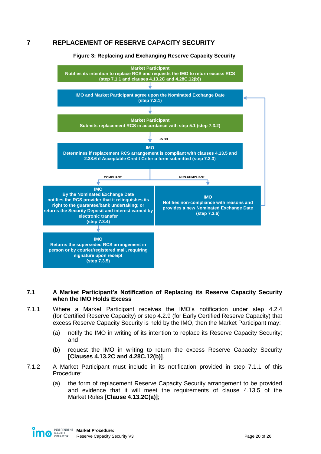# <span id="page-19-2"></span><span id="page-19-0"></span>**7 REPLACEMENT OF RESERVE CAPACITY SECURITY**



#### **Figure 3: Replacing and Exchanging Reserve Capacity Security**

#### <span id="page-19-1"></span>**7.1 A Market Participant's Notification of Replacing its Reserve Capacity Security when the IMO Holds Excess**

- <span id="page-19-3"></span>7.1.1 Where a Market Participant receives the IMO's notification under step [4.2.4](#page-11-7) (for Certified Reserve Capacity) or step [4.2.9](#page-12-3) (for Early Certified Reserve Capacity) that excess Reserve Capacity Security is held by the IMO, then the Market Participant may:
	- (a) notify the IMO in writing of its intention to replace its Reserve Capacity Security; and
	- (b) request the IMO in writing to return the excess Reserve Capacity Security **[Clauses 4.13.2C and 4.28C.12(b)]**.
- 7.1.2 A Market Participant must include in its notification provided in step [7.1.1](#page-19-3) of this Procedure:
	- (a) the form of replacement Reserve Capacity Security arrangement to be provided and evidence that it will meet the requirements of clause 4.13.5 of the Market Rules **[Clause 4.13.2C(a)]**;

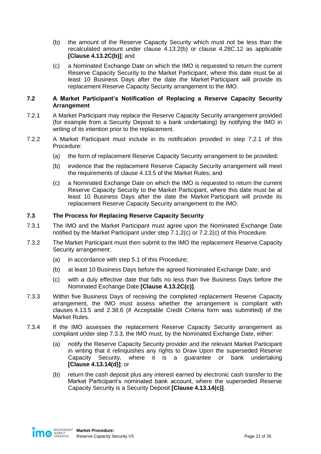- (b) the amount of the Reserve Capacity Security which must not be less than the recalculated amount under clause 4.13.2(b) or clause 4.28C.12 as applicable **[Clause 4.13.2C(b)]**; and
- <span id="page-20-3"></span>(c) a Nominated Exchange Date on which the IMO is requested to return the current Reserve Capacity Security to the Market Participant, where this date must be at least 10 Business Days after the date the Market Participant will provide its replacement Reserve Capacity Security arrangement to the IMO.

#### <span id="page-20-0"></span>**7.2 A Market Participant's Notification of Replacing a Reserve Capacity Security Arrangement**

- <span id="page-20-2"></span>7.2.1 A Market Participant may replace the Reserve Capacity Security arrangement provided (for example from a Security Deposit to a bank undertaking) by notifying the IMO in writing of its intention prior to the replacement.
- 7.2.2 A Market Participant must include in its notification provided in step [7.2.1](#page-20-2) of this Procedure:
	- (a) the form of replacement Reserve Capacity Security arrangement to be provided;
	- (b) evidence that the replacement Reserve Capacity Security arrangement will meet the requirements of clause 4.13.5 of the Market Rules; and
	- (c) a Nominated Exchange Date on which the IMO is requested to return the current Reserve Capacity Security to the Market Participant, where this date must be at least 10 Business Days after the date the Market Participant will provide its replacement Reserve Capacity Security arrangement to the IMO.

### <span id="page-20-4"></span><span id="page-20-1"></span>**7.3 The Process for Replacing Reserve Capacity Security**

- 7.3.1 The IMO and the Market Participant must agree upon the Nominated Exchange Date notified by the Market Participant under step [7.1.2\(c\)](#page-20-3) or [7.2.2\(c\)](#page-20-4) of this Procedure.
- 7.3.2 The Market Participant must then submit to the IMO the replacement Reserve Capacity Security arrangement:
	- (a) in accordance with step [5.1](#page-13-1) of this Procedure;
	- (b) at least 10 Business Days before the agreed Nominated Exchange Date; and
	- (c) with a duly effective date that falls no less than five Business Days before the Nominated Exchange Date **[Clause 4.13.2C(c)]**.
- <span id="page-20-5"></span>7.3.3 Within five Business Days of receiving the completed replacement Reserve Capacity arrangement, the IMO must assess whether the arrangement is compliant with clauses 4.13.5 and 2.38.6 (if Acceptable Credit Criteria form was submitted) of the Market Rules.
- <span id="page-20-6"></span>7.3.4 If the IMO assesses the replacement Reserve Capacity Security arrangement as compliant under step [7.3.3,](#page-20-5) the IMO must, by the Nominated Exchange Date, either:
	- (a) notify the Reserve Capacity Security provider and the relevant Market Participant in writing that it relinquishes any rights to Draw Upon the superseded Reserve Capacity Security, where it is a guarantee or bank undertaking **[Clause 4.13.14(d)]**; or
	- (b) return the cash deposit plus any interest earned by electronic cash transfer to the Market Participant's nominated bank account, where the superseded Reserve Capacity Security is a Security Deposit **[Clause 4.13.14(c)]**.

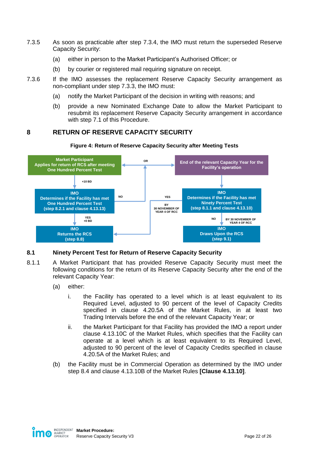- 7.3.5 As soon as practicable after step [7.3.4,](#page-20-6) the IMO must return the superseded Reserve Capacity Security:
	- (a) either in person to the Market Participant's Authorised Officer; or
	- (b) by courier or registered mail requiring signature on receipt.
- 7.3.6 If the IMO assesses the replacement Reserve Capacity Security arrangement as non-compliant under step [7.3.3,](#page-20-5) the IMO must:
	- (a) notify the Market Participant of the decision in writing with reasons; and
	- (b) provide a new Nominated Exchange Date to allow the Market Participant to resubmit its replacement Reserve Capacity Security arrangement in accordance with step [7.1](#page-19-1) of this Procedure.

# <span id="page-21-0"></span>**8 RETURN OF RESERVE CAPACITY SECURITY**

**Figure 4: Return of Reserve Capacity Security after Meeting Tests**

<span id="page-21-2"></span>

### <span id="page-21-1"></span>**8.1 Ninety Percent Test for Return of Reserve Capacity Security**

- <span id="page-21-3"></span>8.1.1 A Market Participant that has provided Reserve Capacity Security must meet the following conditions for the return of its Reserve Capacity Security after the end of the relevant Capacity Year:
	- (a) either:
		- i. the Facility has operated to a level which is at least equivalent to its Required Level, adjusted to 90 percent of the level of Capacity Credits specified in clause 4.20.5A of the Market Rules, in at least two Trading Intervals before the end of the relevant Capacity Year; or
		- ii. the Market Participant for that Facility has provided the IMO a report under clause 4.13.10C of the Market Rules, which specifies that the Facility can operate at a level which is at least equivalent to its Required Level, adjusted to 90 percent of the level of Capacity Credits specified in clause 4.20.5A of the Market Rules; and
	- (b) the Facility must be in Commercial Operation as determined by the IMO under step [8.4](#page-23-0) and clause 4.13.10B of the Market Rules **[Clause 4.13.10]**.

<span id="page-21-4"></span>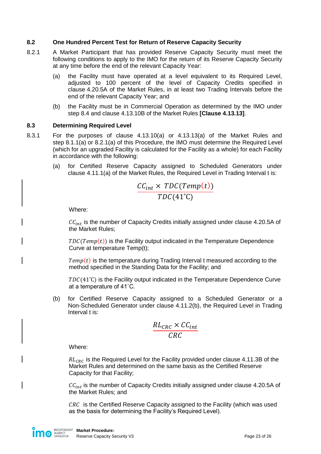## <span id="page-22-0"></span>**8.2 One Hundred Percent Test for Return of Reserve Capacity Security**

- <span id="page-22-2"></span>8.2.1 A Market Participant that has provided Reserve Capacity Security must meet the following conditions to apply to the IMO for the return of its Reserve Capacity Security at any time before the end of the relevant Capacity Year:
	- (a) the Facility must have operated at a level equivalent to its Required Level, adjusted to 100 percent of the level of Capacity Credits specified in clause 4.20.5A of the Market Rules, in at least two Trading Intervals before the end of the relevant Capacity Year; and
	- (b) the Facility must be in Commercial Operation as determined by the IMO under step [8.4](#page-23-0) and clause 4.13.10B of the Market Rules **[Clause 4.13.13]**.

### <span id="page-22-3"></span><span id="page-22-1"></span>**8.3 Determining Required Level**

- 8.3.1 For the purposes of clause 4.13.10(a) or 4.13.13(a) of the Market Rules and step [8.1.1\(a\)](#page-21-3) or [8.2.1\(a\)](#page-22-2) of this Procedure, the IMO must determine the Required Level (which for an upgraded Facility is calculated for the Facility as a whole) for each Facility in accordance with the following:
	- (a) for Certified Reserve Capacity assigned to Scheduled Generators under clause 4.11.1(a) of the Market Rules, the Required Level in Trading Interval t is:

$$
\frac{CC_{int} \times TDC(Temp(t))}{TDC(41^{\circ}C)}
$$

Where:

 $CC<sub>int</sub>$  is the number of Capacity Credits initially assigned under clause 4.20.5A of the Market Rules;

 $TDC(Temp(t))$  is the Facility output indicated in the Temperature Dependence Curve at temperature Temp(t);

 $Temp(t)$  is the temperature during Trading Interval t measured according to the method specified in the Standing Data for the Facility; and

 $TDC(41^{\circ}C)$  is the Facility output indicated in the Temperature Dependence Curve at a temperature of 41˚C.

(b) for Certified Reserve Capacity assigned to a Scheduled Generator or a Non-Scheduled Generator under clause 4.11.2(b), the Required Level in Trading Interval t is:

$$
\frac{RL_{CRC} \times CC_{int}}{CRC}
$$

Where:

 $RL_{CRC}$  is the Required Level for the Facility provided under clause 4.11.3B of the Market Rules and determined on the same basis as the Certified Reserve Capacity for that Facility;

 $CC_{int}$  is the number of Capacity Credits initially assigned under clause 4.20.5A of the Market Rules; and

 $CRC$  is the Certified Reserve Capacity assigned to the Facility (which was used as the basis for determining the Facility's Required Level).

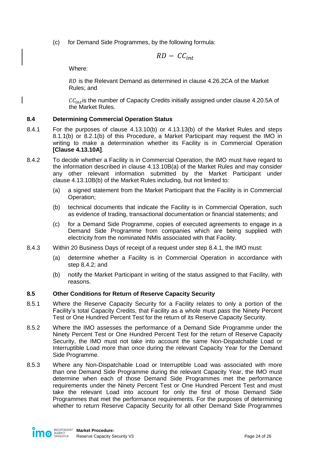(c) for Demand Side Programmes, by the following formula:

$$
RD - CC_{int}
$$

Where:

RD is the Relevant Demand as determined in clause 4.26.2CA of the Market Rules; and

 $CC_{int}$  is the number of Capacity Credits initially assigned under clause 4.20.5A of the Market Rules.

## <span id="page-23-0"></span>**8.4 Determining Commercial Operation Status**

- <span id="page-23-2"></span>8.4.1 For the purposes of clause 4.13.10(b) or 4.13.13(b) of the Market Rules and steps [8.1.1\(b\)](#page-21-4) or [8.2.1\(b\)](#page-22-3) of this Procedure, a Market Participant may request the IMO in writing to make a determination whether its Facility is in Commercial Operation **[Clause 4.13.10A]**.
- <span id="page-23-3"></span>8.4.2 To decide whether a Facility is in Commercial Operation, the IMO must have regard to the information described in clause 4.13.10B(a) of the Market Rules and may consider any other relevant information submitted by the Market Participant under clause 4.13.10B(b) of the Market Rules including, but not limited to:
	- (a) a signed statement from the Market Participant that the Facility is in Commercial Operation;
	- (b) technical documents that indicate the Facility is in Commercial Operation, such as evidence of trading, transactional documentation or financial statements; and
	- (c) for a Demand Side Programme, copies of executed agreements to engage in a Demand Side Programme from companies which are being supplied with electricity from the nominated NMIs associated with that Facility.
- 8.4.3 Within 20 Business Days of receipt of a request under step [8.4.1,](#page-23-2) the IMO must:
	- (a) determine whether a Facility is in Commercial Operation in accordance with step [8.4.2;](#page-23-3) and
	- (b) notify the Market Participant in writing of the status assigned to that Facility, with reasons.

# <span id="page-23-1"></span>**8.5 Other Conditions for Return of Reserve Capacity Security**

- 8.5.1 Where the Reserve Capacity Security for a Facility relates to only a portion of the Facility's total Capacity Credits, that Facility as a whole must pass the Ninety Percent Test or One Hundred Percent Test for the return of its Reserve Capacity Security.
- 8.5.2 Where the IMO assesses the performance of a Demand Side Programme under the Ninety Percent Test or One Hundred Percent Test for the return of Reserve Capacity Security, the IMO must not take into account the same Non-Dispatchable Load or Interruptible Load more than once during the relevant Capacity Year for the Demand Side Programme.
- 8.5.3 Where any Non-Dispatchable Load or Interruptible Load was associated with more than one Demand Side Programme during the relevant Capacity Year, the IMO must determine when each of those Demand Side Programmes met the performance requirements under the Ninety Percent Test or One Hundred Percent Test and must take the relevant Load into account for only the first of those Demand Side Programmes that met the performance requirements. For the purposes of determining whether to return Reserve Capacity Security for all other Demand Side Programmes

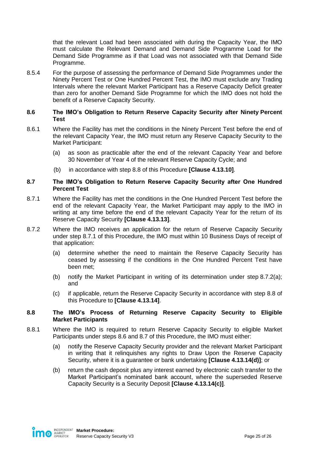that the relevant Load had been associated with during the Capacity Year, the IMO must calculate the Relevant Demand and Demand Side Programme Load for the Demand Side Programme as if that Load was not associated with that Demand Side Programme.

8.5.4 For the purpose of assessing the performance of Demand Side Programmes under the Ninety Percent Test or One Hundred Percent Test, the IMO must exclude any Trading Intervals where the relevant Market Participant has a Reserve Capacity Deficit greater than zero for another Demand Side Programme for which the IMO does not hold the benefit of a Reserve Capacity Security.

#### <span id="page-24-0"></span>**8.6 The IMO's Obligation to Return Reserve Capacity Security after Ninety Percent Test**

- 8.6.1 Where the Facility has met the conditions in the Ninety Percent Test before the end of the relevant Capacity Year, the IMO must return any Reserve Capacity Security to the Market Participant:
	- (a) as soon as practicable after the end of the relevant Capacity Year and before 30 November of Year 4 of the relevant Reserve Capacity Cycle; and
	- (b) in accordance with step [8.8](#page-24-2) of this Procedure **[Clause 4.13.10]**.

#### <span id="page-24-1"></span>**8.7 The IMO's Obligation to Return Reserve Capacity Security after One Hundred Percent Test**

- <span id="page-24-3"></span>8.7.1 Where the Facility has met the conditions in the One Hundred Percent Test before the end of the relevant Capacity Year, the Market Participant may apply to the IMO in writing at any time before the end of the relevant Capacity Year for the return of its Reserve Capacity Security **[Clause 4.13.13]**.
- <span id="page-24-4"></span>8.7.2 Where the IMO receives an application for the return of Reserve Capacity Security under step [8.7.1](#page-24-3) of this Procedure, the IMO must within 10 Business Days of receipt of that application:
	- (a) determine whether the need to maintain the Reserve Capacity Security has ceased by assessing if the conditions in the One Hundred Percent Test have been met;
	- (b) notify the Market Participant in writing of its determination under step [8.7.2\(a\);](#page-24-4) and
	- (c) if applicable, return the Reserve Capacity Security in accordance with step [8.8](#page-24-2) of this Procedure to **[Clause 4.13.14]**.

### <span id="page-24-2"></span>**8.8 The IMO's Process of Returning Reserve Capacity Security to Eligible Market Participants**

- <span id="page-24-5"></span>8.8.1 Where the IMO is required to return Reserve Capacity Security to eligible Market Participants under steps [8.6](#page-24-0) and [8.7](#page-24-1) of this Procedure, the IMO must either:
	- (a) notify the Reserve Capacity Security provider and the relevant Market Participant in writing that it relinquishes any rights to Draw Upon the Reserve Capacity Security, where it is a guarantee or bank undertaking **[Clause 4.13.14(d)]**; or
	- (b) return the cash deposit plus any interest earned by electronic cash transfer to the Market Participant's nominated bank account, where the superseded Reserve Capacity Security is a Security Deposit **[Clause 4.13.14(c)]**.